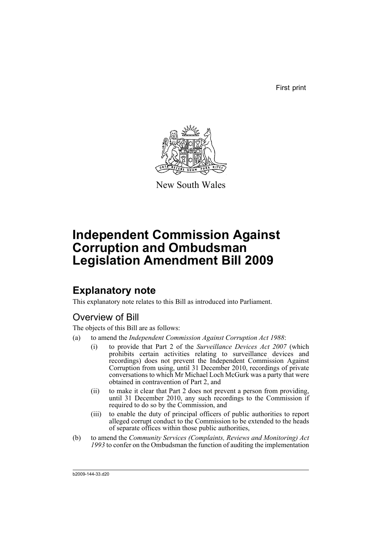First print



New South Wales

# **Independent Commission Against Corruption and Ombudsman Legislation Amendment Bill 2009**

# **Explanatory note**

This explanatory note relates to this Bill as introduced into Parliament.

# Overview of Bill

The objects of this Bill are as follows:

- (a) to amend the *Independent Commission Against Corruption Act 1988*:
	- (i) to provide that Part 2 of the *Surveillance Devices Act 2007* (which prohibits certain activities relating to surveillance devices and recordings) does not prevent the Independent Commission Against Corruption from using, until 31 December 2010, recordings of private conversations to which Mr Michael Loch McGurk was a party that were obtained in contravention of Part 2, and
	- (ii) to make it clear that Part 2 does not prevent a person from providing, until 31 December 2010, any such recordings to the Commission if required to do so by the Commission, and
	- (iii) to enable the duty of principal officers of public authorities to report alleged corrupt conduct to the Commission to be extended to the heads of separate offices within those public authorities,
- (b) to amend the *Community Services (Complaints, Reviews and Monitoring) Act 1993* to confer on the Ombudsman the function of auditing the implementation

b2009-144-33.d20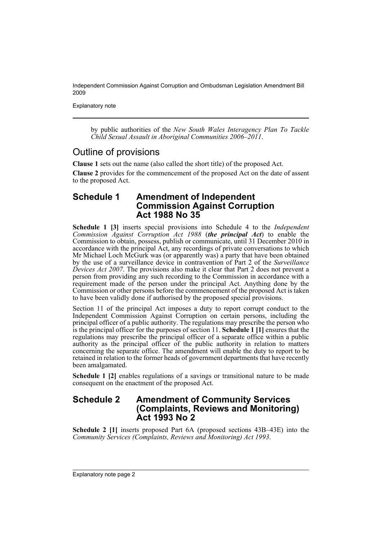Explanatory note

by public authorities of the *New South Wales Interagency Plan To Tackle Child Sexual Assault in Aboriginal Communities 2006–2011*.

## Outline of provisions

**Clause 1** sets out the name (also called the short title) of the proposed Act.

**Clause 2** provides for the commencement of the proposed Act on the date of assent to the proposed Act.

## **Schedule 1 Amendment of Independent Commission Against Corruption Act 1988 No 35**

**Schedule 1 [3]** inserts special provisions into Schedule 4 to the *Independent Commission Against Corruption Act 1988* (*the principal Act*) to enable the Commission to obtain, possess, publish or communicate, until 31 December 2010 in accordance with the principal Act, any recordings of private conversations to which Mr Michael Loch McGurk was (or apparently was) a party that have been obtained by the use of a surveillance device in contravention of Part 2 of the *Surveillance Devices Act 2007*. The provisions also make it clear that Part 2 does not prevent a person from providing any such recording to the Commission in accordance with a requirement made of the person under the principal Act. Anything done by the Commission or other persons before the commencement of the proposed Act is taken to have been validly done if authorised by the proposed special provisions.

Section 11 of the principal Act imposes a duty to report corrupt conduct to the Independent Commission Against Corruption on certain persons, including the principal officer of a public authority. The regulations may prescribe the person who is the principal officer for the purposes of section 11. **Schedule 1 [1]** ensures that the regulations may prescribe the principal officer of a separate office within a public authority as the principal officer of the public authority in relation to matters concerning the separate office. The amendment will enable the duty to report to be retained in relation to the former heads of government departments that have recently been amalgamated.

**Schedule 1 [2]** enables regulations of a savings or transitional nature to be made consequent on the enactment of the proposed Act.

## **Schedule 2 Amendment of Community Services (Complaints, Reviews and Monitoring) Act 1993 No 2**

**Schedule 2 [1]** inserts proposed Part 6A (proposed sections 43B–43E) into the *Community Services (Complaints, Reviews and Monitoring) Act 1993*.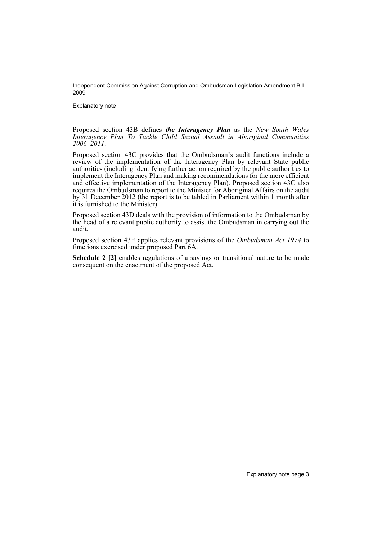Explanatory note

Proposed section 43B defines *the Interagency Plan* as the *New South Wales Interagency Plan To Tackle Child Sexual Assault in Aboriginal Communities 2006–2011*.

Proposed section 43C provides that the Ombudsman's audit functions include a review of the implementation of the Interagency Plan by relevant State public authorities (including identifying further action required by the public authorities to implement the Interagency Plan and making recommendations for the more efficient and effective implementation of the Interagency Plan). Proposed section 43C also requires the Ombudsman to report to the Minister for Aboriginal Affairs on the audit by 31 December 2012 (the report is to be tabled in Parliament within 1 month after it is furnished to the Minister).

Proposed section 43D deals with the provision of information to the Ombudsman by the head of a relevant public authority to assist the Ombudsman in carrying out the audit.

Proposed section 43E applies relevant provisions of the *Ombudsman Act 1974* to functions exercised under proposed Part 6A.

**Schedule 2 [2]** enables regulations of a savings or transitional nature to be made consequent on the enactment of the proposed Act.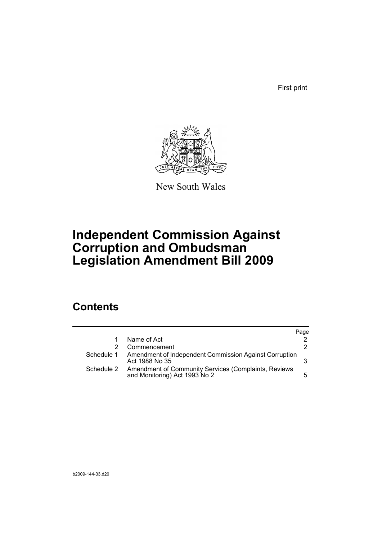First print



New South Wales

# **Independent Commission Against Corruption and Ombudsman Legislation Amendment Bill 2009**

# **Contents**

|            |                                                                                       | Page |
|------------|---------------------------------------------------------------------------------------|------|
|            | Name of Act                                                                           |      |
|            | Commencement                                                                          | 2.   |
| Schedule 1 | Amendment of Independent Commission Against Corruption<br>Act 1988 No 35              |      |
| Schedule 2 | Amendment of Community Services (Complaints, Reviews<br>and Monitoring) Act 1993 No 2 | 5.   |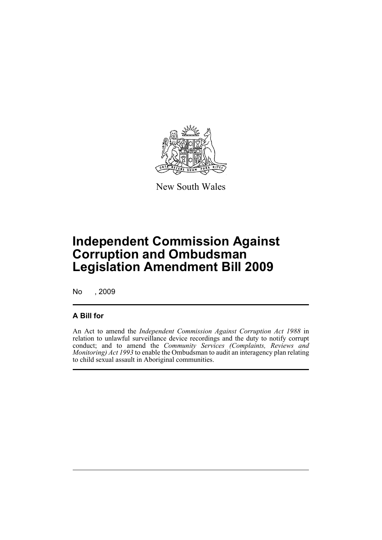

New South Wales

# **Independent Commission Against Corruption and Ombudsman Legislation Amendment Bill 2009**

No , 2009

## **A Bill for**

An Act to amend the *Independent Commission Against Corruption Act 1988* in relation to unlawful surveillance device recordings and the duty to notify corrupt conduct; and to amend the *Community Services (Complaints, Reviews and Monitoring) Act 1993* to enable the Ombudsman to audit an interagency plan relating to child sexual assault in Aboriginal communities.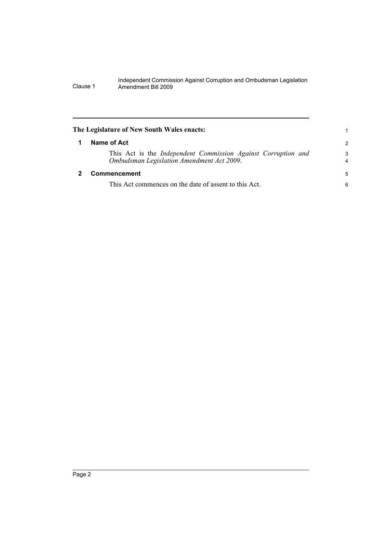<span id="page-7-1"></span><span id="page-7-0"></span>

| The Legislature of New South Wales enacts:                                                                 |                     |
|------------------------------------------------------------------------------------------------------------|---------------------|
| Name of Act                                                                                                | $\mathcal{P}$       |
| This Act is the Independent Commission Against Corruption and<br>Ombudsman Legislation Amendment Act 2009. | 3<br>$\overline{4}$ |
| Commencement                                                                                               | 5                   |
| This Act commences on the date of assent to this Act.                                                      | 6                   |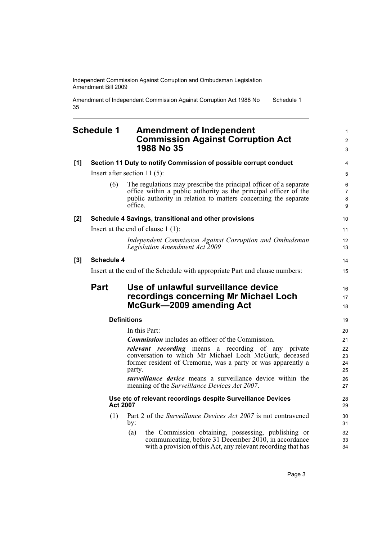Amendment of Independent Commission Against Corruption Act 1988 No 35 Schedule 1

## <span id="page-8-0"></span>**Schedule 1 Amendment of Independent Commission Against Corruption Act 1988 No 35**

| [1]                 |                   | Section 11 Duty to notify Commission of possible corrupt conduct                                                                                                                                                                                                                                              | 4                                |
|---------------------|-------------------|---------------------------------------------------------------------------------------------------------------------------------------------------------------------------------------------------------------------------------------------------------------------------------------------------------------|----------------------------------|
|                     |                   | Insert after section 11 $(5)$ :                                                                                                                                                                                                                                                                               | 5                                |
|                     | (6)               | The regulations may prescribe the principal officer of a separate<br>office within a public authority as the principal officer of the<br>public authority in relation to matters concerning the separate<br>office.                                                                                           | 6<br>$\overline{7}$<br>8<br>9    |
| [2]                 |                   | Schedule 4 Savings, transitional and other provisions                                                                                                                                                                                                                                                         | 10                               |
|                     |                   | Insert at the end of clause $1(1)$ :                                                                                                                                                                                                                                                                          | 11                               |
|                     |                   | Independent Commission Against Corruption and Ombudsman<br>Legislation Amendment Act 2009                                                                                                                                                                                                                     | 12<br>13                         |
| $\bm{\mathsf{[3]}}$ | <b>Schedule 4</b> |                                                                                                                                                                                                                                                                                                               | 14                               |
|                     |                   | Insert at the end of the Schedule with appropriate Part and clause numbers:                                                                                                                                                                                                                                   | 15                               |
|                     | <b>Part</b>       | Use of unlawful surveillance device<br>recordings concerning Mr Michael Loch<br>McGurk-2009 amending Act                                                                                                                                                                                                      | 16<br>17<br>18                   |
|                     |                   | <b>Definitions</b>                                                                                                                                                                                                                                                                                            | 19                               |
|                     |                   | In this Part:                                                                                                                                                                                                                                                                                                 | 20                               |
|                     |                   | <b>Commission</b> includes an officer of the Commission.                                                                                                                                                                                                                                                      | 21                               |
|                     |                   | <i>relevant recording</i> means a recording of any private<br>conversation to which Mr Michael Loch McGurk, deceased<br>former resident of Cremorne, was a party or was apparently a<br>party.<br>surveillance device means a surveillance device within the<br>meaning of the Surveillance Devices Act 2007. | 22<br>23<br>24<br>25<br>26<br>27 |
|                     |                   | Use etc of relevant recordings despite Surveillance Devices<br><b>Act 2007</b>                                                                                                                                                                                                                                | 28<br>29                         |
|                     | (1)               | Part 2 of the Surveillance Devices Act 2007 is not contravened<br>by:                                                                                                                                                                                                                                         | 30<br>31                         |
|                     |                   | the Commission obtaining, possessing, publishing or<br>(a)<br>communicating, before 31 December 2010, in accordance<br>with a provision of this Act, any relevant recording that has                                                                                                                          | 32<br>33<br>34                   |

1 2 3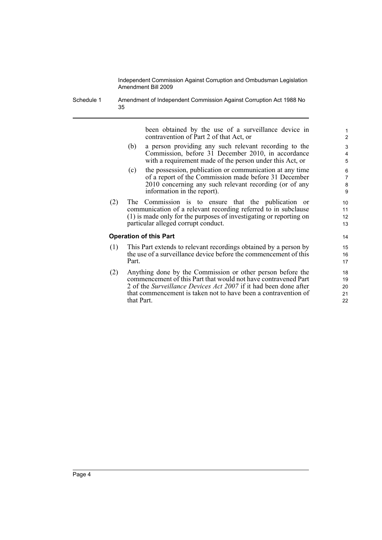Schedule 1 Amendment of Independent Commission Against Corruption Act 1988 No 35

> been obtained by the use of a surveillance device in contravention of Part 2 of that Act, or

- (b) a person providing any such relevant recording to the Commission, before 31 December 2010, in accordance with a requirement made of the person under this Act, or
- (c) the possession, publication or communication at any time of a report of the Commission made before 31 December 2010 concerning any such relevant recording (or of any information in the report).
- (2) The Commission is to ensure that the publication or communication of a relevant recording referred to in subclause (1) is made only for the purposes of investigating or reporting on particular alleged corrupt conduct.

### **Operation of this Part**

- (1) This Part extends to relevant recordings obtained by a person by the use of a surveillance device before the commencement of this Part.
- (2) Anything done by the Commission or other person before the commencement of this Part that would not have contravened Part 2 of the *Surveillance Devices Act 2007* if it had been done after that commencement is taken not to have been a contravention of that Part.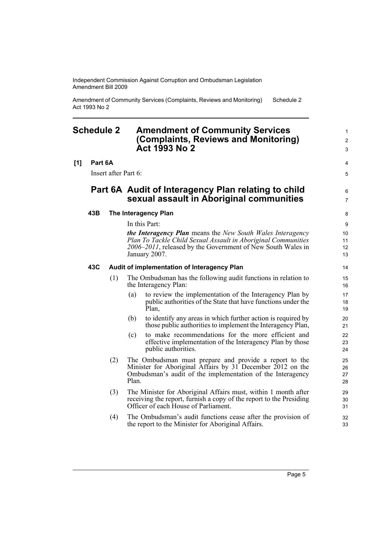Amendment of Community Services (Complaints, Reviews and Monitoring) Act 1993 No 2 Schedule 2

## <span id="page-10-0"></span>**Schedule 2 Amendment of Community Services (Complaints, Reviews and Monitoring) Act 1993 No 2**

### **[1] Part 6A**

Insert after Part 6:

## **Part 6A Audit of Interagency Plan relating to child sexual assault in Aboriginal communities**

### **43B The Interagency Plan**

In this Part:

*the Interagency Plan* means the *New South Wales Interagency Plan To Tackle Child Sexual Assault in Aboriginal Communities 2006–2011*, released by the Government of New South Wales in January 2007.

### **43C Audit of implementation of Interagency Plan**

- (1) The Ombudsman has the following audit functions in relation to the Interagency Plan:
	- (a) to review the implementation of the Interagency Plan by public authorities of the State that have functions under the Plan,
	- (b) to identify any areas in which further action is required by those public authorities to implement the Interagency Plan,
	- (c) to make recommendations for the more efficient and effective implementation of the Interagency Plan by those public authorities.
- (2) The Ombudsman must prepare and provide a report to the Minister for Aboriginal Affairs by 31 December 2012 on the Ombudsman's audit of the implementation of the Interagency Plan.
- (3) The Minister for Aboriginal Affairs must, within 1 month after receiving the report, furnish a copy of the report to the Presiding Officer of each House of Parliament.
- (4) The Ombudsman's audit functions cease after the provision of the report to the Minister for Aboriginal Affairs.

Page 5

1  $\mathfrak{p}$ 3

4 5

6 7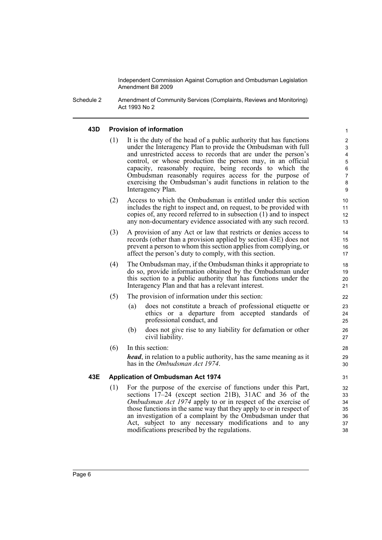Schedule 2 Amendment of Community Services (Complaints, Reviews and Monitoring) Act 1993 No 2

## **43D Provision of information**

(1) It is the duty of the head of a public authority that has functions under the Interagency Plan to provide the Ombudsman with full and unrestricted access to records that are under the person's control, or whose production the person may, in an official capacity, reasonably require, being records to which the Ombudsman reasonably requires access for the purpose of exercising the Ombudsman's audit functions in relation to the Interagency Plan.

- (2) Access to which the Ombudsman is entitled under this section includes the right to inspect and, on request, to be provided with copies of, any record referred to in subsection (1) and to inspect any non-documentary evidence associated with any such record.
- (3) A provision of any Act or law that restricts or denies access to records (other than a provision applied by section 43E) does not prevent a person to whom this section applies from complying, or affect the person's duty to comply, with this section.
- (4) The Ombudsman may, if the Ombudsman thinks it appropriate to do so, provide information obtained by the Ombudsman under this section to a public authority that has functions under the Interagency Plan and that has a relevant interest.
- (5) The provision of information under this section:
	- (a) does not constitute a breach of professional etiquette or ethics or a departure from accepted standards of professional conduct, and
	- (b) does not give rise to any liability for defamation or other civil liability.
- (6) In this section:

*head*, in relation to a public authority, has the same meaning as it has in the *Ombudsman Act 1974*.

### **43E Application of Ombudsman Act 1974**

(1) For the purpose of the exercise of functions under this Part, sections 17–24 (except section 21B), 31AC and 36 of the *Ombudsman Act 1974* apply to or in respect of the exercise of those functions in the same way that they apply to or in respect of an investigation of a complaint by the Ombudsman under that Act, subject to any necessary modifications and to any modifications prescribed by the regulations.